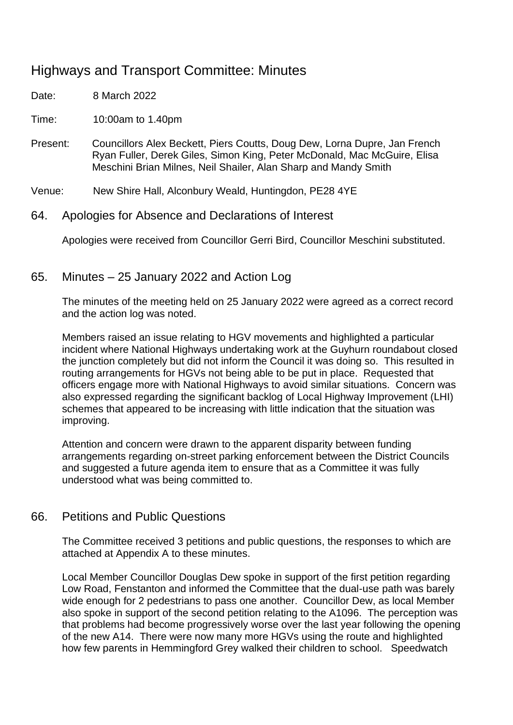# Highways and Transport Committee: Minutes

Date: 8 March 2022

Time: 10:00am to 1.40pm

Present: Councillors Alex Beckett, Piers Coutts, Doug Dew, Lorna Dupre, Jan French Ryan Fuller, Derek Giles, Simon King, Peter McDonald, Mac McGuire, Elisa Meschini Brian Milnes, Neil Shailer, Alan Sharp and Mandy Smith

Venue: New Shire Hall, Alconbury Weald, Huntingdon, PE28 4YE

64. Apologies for Absence and Declarations of Interest

Apologies were received from Councillor Gerri Bird, Councillor Meschini substituted.

65. Minutes – 25 January 2022 and Action Log

The minutes of the meeting held on 25 January 2022 were agreed as a correct record and the action log was noted.

Members raised an issue relating to HGV movements and highlighted a particular incident where National Highways undertaking work at the Guyhurn roundabout closed the junction completely but did not inform the Council it was doing so. This resulted in routing arrangements for HGVs not being able to be put in place. Requested that officers engage more with National Highways to avoid similar situations. Concern was also expressed regarding the significant backlog of Local Highway Improvement (LHI) schemes that appeared to be increasing with little indication that the situation was improving.

Attention and concern were drawn to the apparent disparity between funding arrangements regarding on-street parking enforcement between the District Councils and suggested a future agenda item to ensure that as a Committee it was fully understood what was being committed to.

## 66. Petitions and Public Questions

The Committee received 3 petitions and public questions, the responses to which are attached at Appendix A to these minutes.

Local Member Councillor Douglas Dew spoke in support of the first petition regarding Low Road, Fenstanton and informed the Committee that the dual-use path was barely wide enough for 2 pedestrians to pass one another. Councillor Dew, as local Member also spoke in support of the second petition relating to the A1096. The perception was that problems had become progressively worse over the last year following the opening of the new A14. There were now many more HGVs using the route and highlighted how few parents in Hemmingford Grey walked their children to school. Speedwatch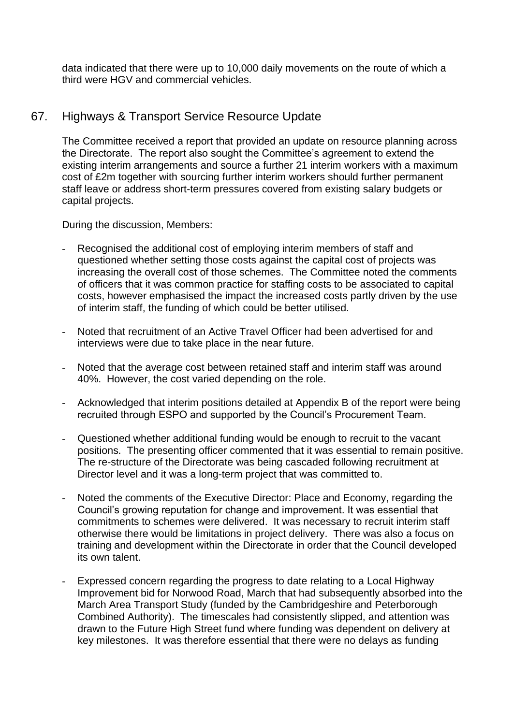data indicated that there were up to 10,000 daily movements on the route of which a third were HGV and commercial vehicles.

## 67. Highways & Transport Service Resource Update

The Committee received a report that provided an update on resource planning across the Directorate. The report also sought the Committee's agreement to extend the existing interim arrangements and source a further 21 interim workers with a maximum cost of £2m together with sourcing further interim workers should further permanent staff leave or address short-term pressures covered from existing salary budgets or capital projects.

During the discussion, Members:

- Recognised the additional cost of employing interim members of staff and questioned whether setting those costs against the capital cost of projects was increasing the overall cost of those schemes. The Committee noted the comments of officers that it was common practice for staffing costs to be associated to capital costs, however emphasised the impact the increased costs partly driven by the use of interim staff, the funding of which could be better utilised.
- Noted that recruitment of an Active Travel Officer had been advertised for and interviews were due to take place in the near future.
- Noted that the average cost between retained staff and interim staff was around 40%. However, the cost varied depending on the role.
- Acknowledged that interim positions detailed at Appendix B of the report were being recruited through ESPO and supported by the Council's Procurement Team.
- Questioned whether additional funding would be enough to recruit to the vacant positions. The presenting officer commented that it was essential to remain positive. The re-structure of the Directorate was being cascaded following recruitment at Director level and it was a long-term project that was committed to.
- Noted the comments of the Executive Director: Place and Economy, regarding the Council's growing reputation for change and improvement. It was essential that commitments to schemes were delivered. It was necessary to recruit interim staff otherwise there would be limitations in project delivery. There was also a focus on training and development within the Directorate in order that the Council developed its own talent.
- Expressed concern regarding the progress to date relating to a Local Highway Improvement bid for Norwood Road, March that had subsequently absorbed into the March Area Transport Study (funded by the Cambridgeshire and Peterborough Combined Authority). The timescales had consistently slipped, and attention was drawn to the Future High Street fund where funding was dependent on delivery at key milestones. It was therefore essential that there were no delays as funding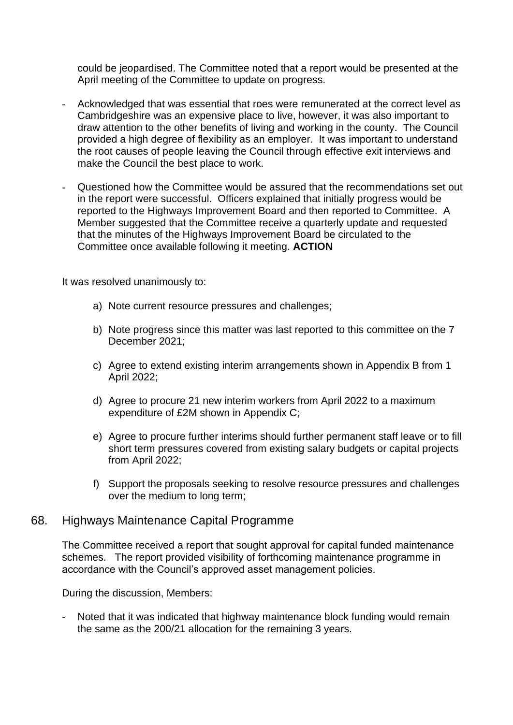could be jeopardised. The Committee noted that a report would be presented at the April meeting of the Committee to update on progress.

- Acknowledged that was essential that roes were remunerated at the correct level as Cambridgeshire was an expensive place to live, however, it was also important to draw attention to the other benefits of living and working in the county. The Council provided a high degree of flexibility as an employer. It was important to understand the root causes of people leaving the Council through effective exit interviews and make the Council the best place to work.
- Questioned how the Committee would be assured that the recommendations set out in the report were successful. Officers explained that initially progress would be reported to the Highways Improvement Board and then reported to Committee. A Member suggested that the Committee receive a quarterly update and requested that the minutes of the Highways Improvement Board be circulated to the Committee once available following it meeting. **ACTION**

It was resolved unanimously to:

- a) Note current resource pressures and challenges;
- b) Note progress since this matter was last reported to this committee on the 7 December 2021;
- c) Agree to extend existing interim arrangements shown in Appendix B from 1 April 2022;
- d) Agree to procure 21 new interim workers from April 2022 to a maximum expenditure of £2M shown in Appendix C;
- e) Agree to procure further interims should further permanent staff leave or to fill short term pressures covered from existing salary budgets or capital projects from April 2022;
- f) Support the proposals seeking to resolve resource pressures and challenges over the medium to long term;

#### 68. Highways Maintenance Capital Programme

The Committee received a report that sought approval for capital funded maintenance schemes. The report provided visibility of forthcoming maintenance programme in accordance with the Council's approved asset management policies.

During the discussion, Members:

Noted that it was indicated that highway maintenance block funding would remain the same as the 200/21 allocation for the remaining 3 years.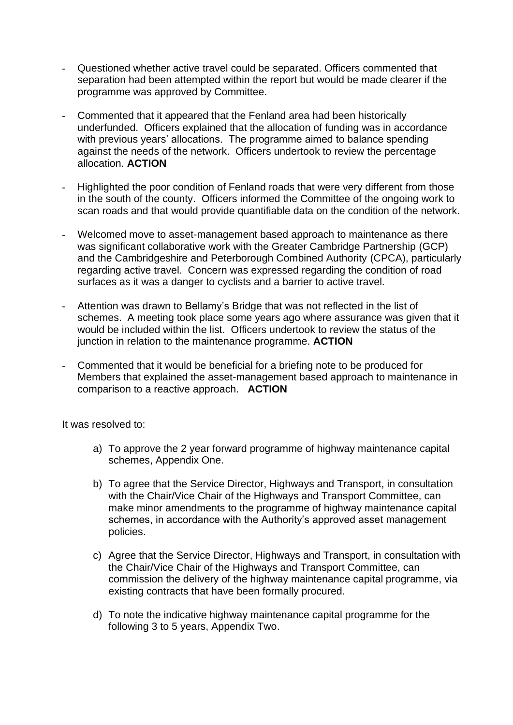- Questioned whether active travel could be separated. Officers commented that separation had been attempted within the report but would be made clearer if the programme was approved by Committee.
- Commented that it appeared that the Fenland area had been historically underfunded. Officers explained that the allocation of funding was in accordance with previous years' allocations. The programme aimed to balance spending against the needs of the network. Officers undertook to review the percentage allocation. **ACTION**
- Highlighted the poor condition of Fenland roads that were very different from those in the south of the county. Officers informed the Committee of the ongoing work to scan roads and that would provide quantifiable data on the condition of the network.
- Welcomed move to asset-management based approach to maintenance as there was significant collaborative work with the Greater Cambridge Partnership (GCP) and the Cambridgeshire and Peterborough Combined Authority (CPCA), particularly regarding active travel. Concern was expressed regarding the condition of road surfaces as it was a danger to cyclists and a barrier to active travel.
- Attention was drawn to Bellamy's Bridge that was not reflected in the list of schemes. A meeting took place some years ago where assurance was given that it would be included within the list. Officers undertook to review the status of the junction in relation to the maintenance programme. **ACTION**
- Commented that it would be beneficial for a briefing note to be produced for Members that explained the asset-management based approach to maintenance in comparison to a reactive approach. **ACTION**

It was resolved to:

- a) To approve the 2 year forward programme of highway maintenance capital schemes, Appendix One.
- b) To agree that the Service Director, Highways and Transport, in consultation with the Chair/Vice Chair of the Highways and Transport Committee, can make minor amendments to the programme of highway maintenance capital schemes, in accordance with the Authority's approved asset management policies.
- c) Agree that the Service Director, Highways and Transport, in consultation with the Chair/Vice Chair of the Highways and Transport Committee, can commission the delivery of the highway maintenance capital programme, via existing contracts that have been formally procured.
- d) To note the indicative highway maintenance capital programme for the following 3 to 5 years, Appendix Two.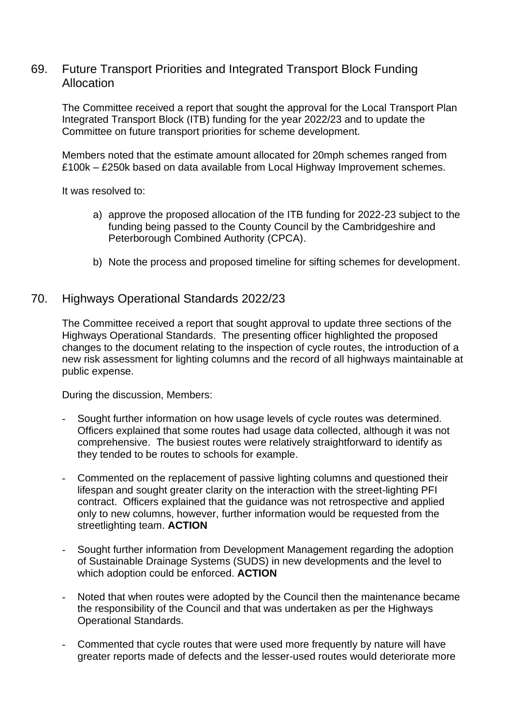### 69. Future Transport Priorities and Integrated Transport Block Funding Allocation

The Committee received a report that sought the approval for the Local Transport Plan Integrated Transport Block (ITB) funding for the year 2022/23 and to update the Committee on future transport priorities for scheme development.

Members noted that the estimate amount allocated for 20mph schemes ranged from £100k – £250k based on data available from Local Highway Improvement schemes.

It was resolved to:

- a) approve the proposed allocation of the ITB funding for 2022-23 subject to the funding being passed to the County Council by the Cambridgeshire and Peterborough Combined Authority (CPCA).
- b) Note the process and proposed timeline for sifting schemes for development.

#### 70. Highways Operational Standards 2022/23

The Committee received a report that sought approval to update three sections of the Highways Operational Standards. The presenting officer highlighted the proposed changes to the document relating to the inspection of cycle routes, the introduction of a new risk assessment for lighting columns and the record of all highways maintainable at public expense.

During the discussion, Members:

- Sought further information on how usage levels of cycle routes was determined. Officers explained that some routes had usage data collected, although it was not comprehensive. The busiest routes were relatively straightforward to identify as they tended to be routes to schools for example.
- Commented on the replacement of passive lighting columns and questioned their lifespan and sought greater clarity on the interaction with the street-lighting PFI contract. Officers explained that the guidance was not retrospective and applied only to new columns, however, further information would be requested from the streetlighting team. **ACTION**
- Sought further information from Development Management regarding the adoption of Sustainable Drainage Systems (SUDS) in new developments and the level to which adoption could be enforced. **ACTION**
- Noted that when routes were adopted by the Council then the maintenance became the responsibility of the Council and that was undertaken as per the Highways Operational Standards.
- Commented that cycle routes that were used more frequently by nature will have greater reports made of defects and the lesser-used routes would deteriorate more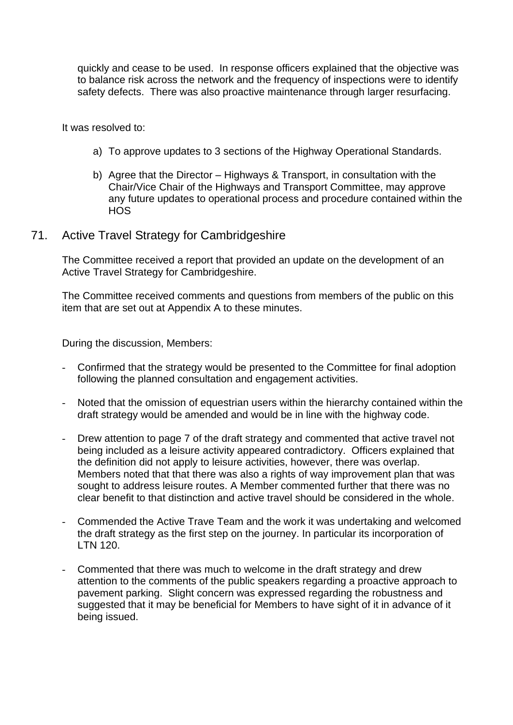quickly and cease to be used. In response officers explained that the objective was to balance risk across the network and the frequency of inspections were to identify safety defects. There was also proactive maintenance through larger resurfacing.

It was resolved to:

- a) To approve updates to 3 sections of the Highway Operational Standards.
- b) Agree that the Director Highways & Transport, in consultation with the Chair/Vice Chair of the Highways and Transport Committee, may approve any future updates to operational process and procedure contained within the HOS

#### 71. Active Travel Strategy for Cambridgeshire

The Committee received a report that provided an update on the development of an Active Travel Strategy for Cambridgeshire.

The Committee received comments and questions from members of the public on this item that are set out at Appendix A to these minutes.

During the discussion, Members:

- Confirmed that the strategy would be presented to the Committee for final adoption following the planned consultation and engagement activities.
- Noted that the omission of equestrian users within the hierarchy contained within the draft strategy would be amended and would be in line with the highway code.
- Drew attention to page 7 of the draft strategy and commented that active travel not being included as a leisure activity appeared contradictory. Officers explained that the definition did not apply to leisure activities, however, there was overlap. Members noted that that there was also a rights of way improvement plan that was sought to address leisure routes. A Member commented further that there was no clear benefit to that distinction and active travel should be considered in the whole.
- Commended the Active Trave Team and the work it was undertaking and welcomed the draft strategy as the first step on the journey. In particular its incorporation of LTN 120.
- Commented that there was much to welcome in the draft strategy and drew attention to the comments of the public speakers regarding a proactive approach to pavement parking. Slight concern was expressed regarding the robustness and suggested that it may be beneficial for Members to have sight of it in advance of it being issued.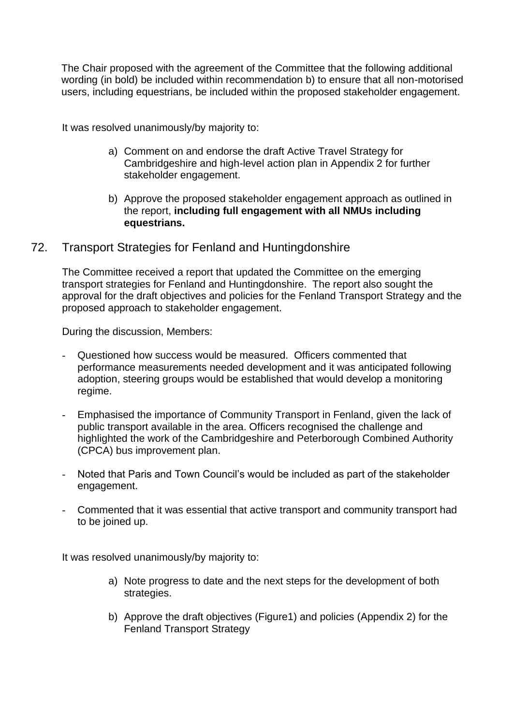The Chair proposed with the agreement of the Committee that the following additional wording (in bold) be included within recommendation b) to ensure that all non-motorised users, including equestrians, be included within the proposed stakeholder engagement.

It was resolved unanimously/by majority to:

- a) Comment on and endorse the draft Active Travel Strategy for Cambridgeshire and high-level action plan in Appendix 2 for further stakeholder engagement.
- b) Approve the proposed stakeholder engagement approach as outlined in the report, **including full engagement with all NMUs including equestrians.**
- 72. Transport Strategies for Fenland and Huntingdonshire

The Committee received a report that updated the Committee on the emerging transport strategies for Fenland and Huntingdonshire. The report also sought the approval for the draft objectives and policies for the Fenland Transport Strategy and the proposed approach to stakeholder engagement.

During the discussion, Members:

- Questioned how success would be measured. Officers commented that performance measurements needed development and it was anticipated following adoption, steering groups would be established that would develop a monitoring regime.
- Emphasised the importance of Community Transport in Fenland, given the lack of public transport available in the area. Officers recognised the challenge and highlighted the work of the Cambridgeshire and Peterborough Combined Authority (CPCA) bus improvement plan.
- Noted that Paris and Town Council's would be included as part of the stakeholder engagement.
- Commented that it was essential that active transport and community transport had to be joined up.

It was resolved unanimously/by majority to:

- a) Note progress to date and the next steps for the development of both strategies.
- b) Approve the draft objectives (Figure1) and policies (Appendix 2) for the Fenland Transport Strategy